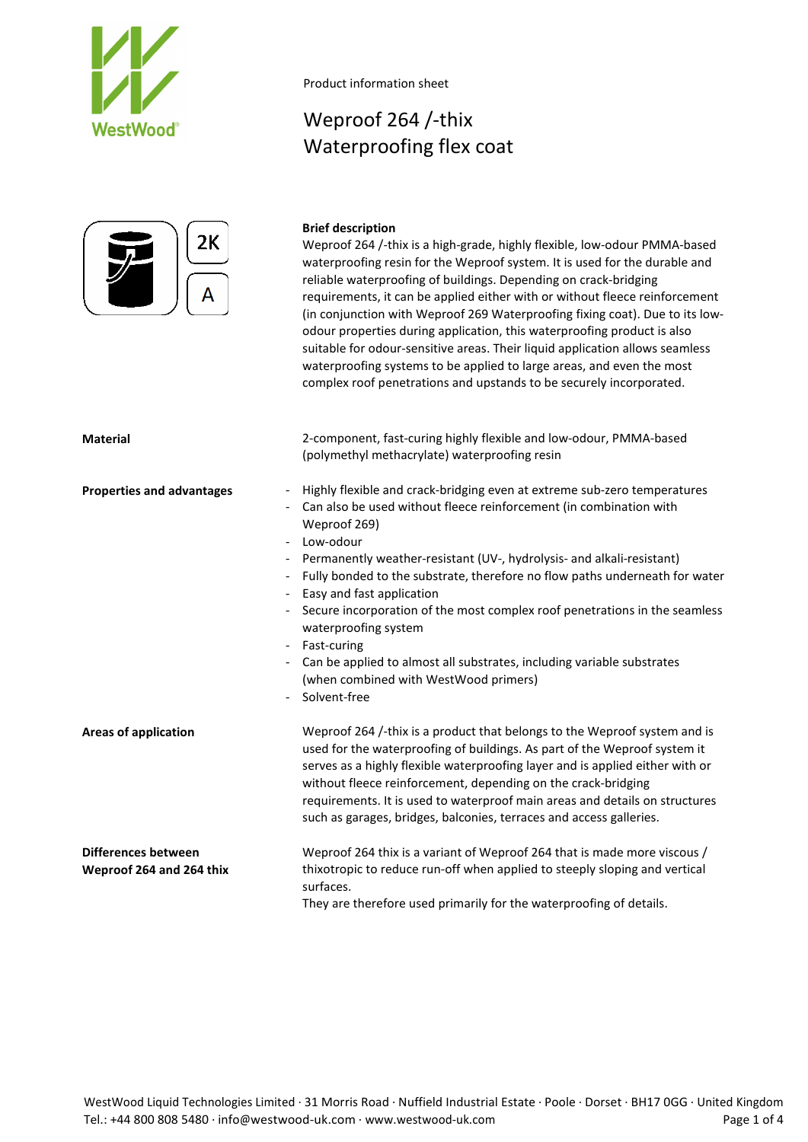



## Weproof 264 /-thix Waterproofing flex coat

### **Brief description**

Weproof 264 /-thix is a high-grade, highly flexible, low-odour PMMA-based waterproofing resin for the Weproof system. It is used for the durable and reliable waterproofing of buildings. Depending on crack-bridging requirements, it can be applied either with or without fleece reinforcement (in conjunction with Weproof 269 Waterproofing fixing coat). Due to its lowodour properties during application, this waterproofing product is also suitable for odour-sensitive areas. Their liquid application allows seamless waterproofing systems to be applied to large areas, and even the most complex roof penetrations and upstands to be securely incorporated.

| <b>Material</b>                                                                                                              | 2-component, fast-curing highly flexible and low-odour, PMMA-based<br>(polymethyl methacrylate) waterproofing resin                                                                                                                                                                                                                                                                                                                                                                                                                                                                                                      |
|------------------------------------------------------------------------------------------------------------------------------|--------------------------------------------------------------------------------------------------------------------------------------------------------------------------------------------------------------------------------------------------------------------------------------------------------------------------------------------------------------------------------------------------------------------------------------------------------------------------------------------------------------------------------------------------------------------------------------------------------------------------|
| <b>Properties and advantages</b><br>$\blacksquare$<br>$\overline{\phantom{a}}$<br>$\overline{\phantom{a}}$<br>$\blacksquare$ | Highly flexible and crack-bridging even at extreme sub-zero temperatures<br>Can also be used without fleece reinforcement (in combination with<br>Weproof 269)<br>Low-odour<br>Permanently weather-resistant (UV-, hydrolysis- and alkali-resistant)<br>Fully bonded to the substrate, therefore no flow paths underneath for water<br>Easy and fast application<br>Secure incorporation of the most complex roof penetrations in the seamless<br>waterproofing system<br>Fast-curing<br>Can be applied to almost all substrates, including variable substrates<br>(when combined with WestWood primers)<br>Solvent-free |
| <b>Areas of application</b>                                                                                                  | Weproof 264 /-thix is a product that belongs to the Weproof system and is<br>used for the waterproofing of buildings. As part of the Weproof system it<br>serves as a highly flexible waterproofing layer and is applied either with or<br>without fleece reinforcement, depending on the crack-bridging<br>requirements. It is used to waterproof main areas and details on structures<br>such as garages, bridges, balconies, terraces and access galleries.                                                                                                                                                           |
| <b>Differences between</b><br>Weproof 264 and 264 thix                                                                       | Weproof 264 thix is a variant of Weproof 264 that is made more viscous /<br>thixotropic to reduce run-off when applied to steeply sloping and vertical<br>surfaces.<br>They are therefore used primarily for the waterproofing of details.                                                                                                                                                                                                                                                                                                                                                                               |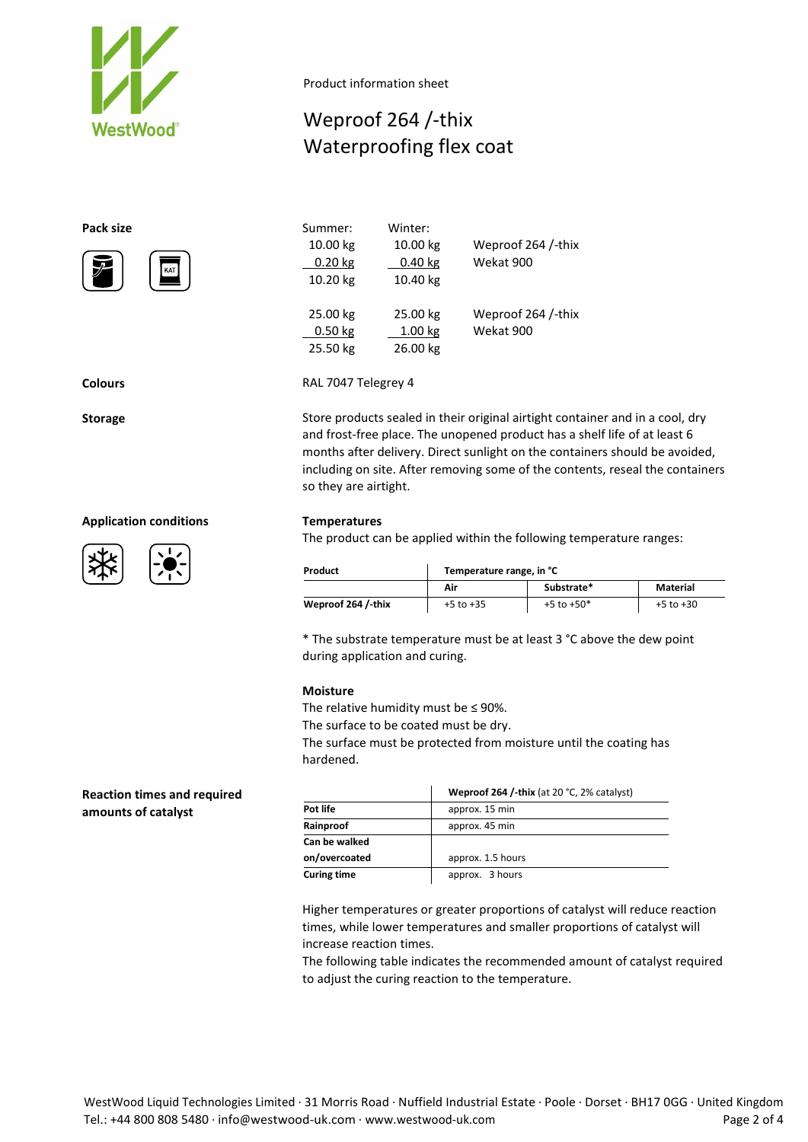

# Weproof 264 /-thix Waterproofing flex coat

### **Pack size**





### **Application conditions Temperatures**





| Summer:   | Winter:            |                    |
|-----------|--------------------|--------------------|
| 10.00 kg  | 10.00 kg           | Weproof 264 /-thix |
| 0.20 kg   | $0.40$ kg          | Wekat 900          |
| 10.20 kg  | 10.40 kg           |                    |
| 25.00 kg  | 25.00 kg           | Weproof 264 /-thix |
| $0.50$ kg | 1.00 <sub>kg</sub> | Wekat 900          |
| 25.50 kg  | 26.00 kg           |                    |

**Colours** RAL 7047 Telegrey 4

**Storage** Store products sealed in their original airtight container and in a cool, dry and frost-free place. The unopened product has a shelf life of at least 6 months after delivery. Direct sunlight on the containers should be avoided, including on site. After removing some of the contents, reseal the containers so they are airtight.

The product can be applied within the following temperature ranges:

| Product            | Temperature range, in °C |                |               |  |  |  |
|--------------------|--------------------------|----------------|---------------|--|--|--|
|                    | Air                      | Substrate*     | Material      |  |  |  |
| Weproof 264 /-thix | $+5$ to $+35$            | $+5$ to $+50*$ | $+5$ to $+30$ |  |  |  |

\* The substrate temperature must be at least 3 °C above the dew point during application and curing.

### **Moisture**

The relative humidity must be  $\leq$  90%.

The surface to be coated must be dry.

The surface must be protected from moisture until the coating has hardened.

|                    | Weproof 264 /-thix (at 20 °C, 2% catalyst) |
|--------------------|--------------------------------------------|
| Pot life           | approx. 15 min                             |
| Rainproof          | approx. 45 min                             |
| Can be walked      |                                            |
| on/overcoated      | approx. 1.5 hours                          |
| <b>Curing time</b> | approx. 3 hours                            |

Higher temperatures or greater proportions of catalyst will reduce reaction times, while lower temperatures and smaller proportions of catalyst will increase reaction times.

The following table indicates the recommended amount of catalyst required to adjust the curing reaction to the temperature.

**Reaction times and required amounts of catalyst**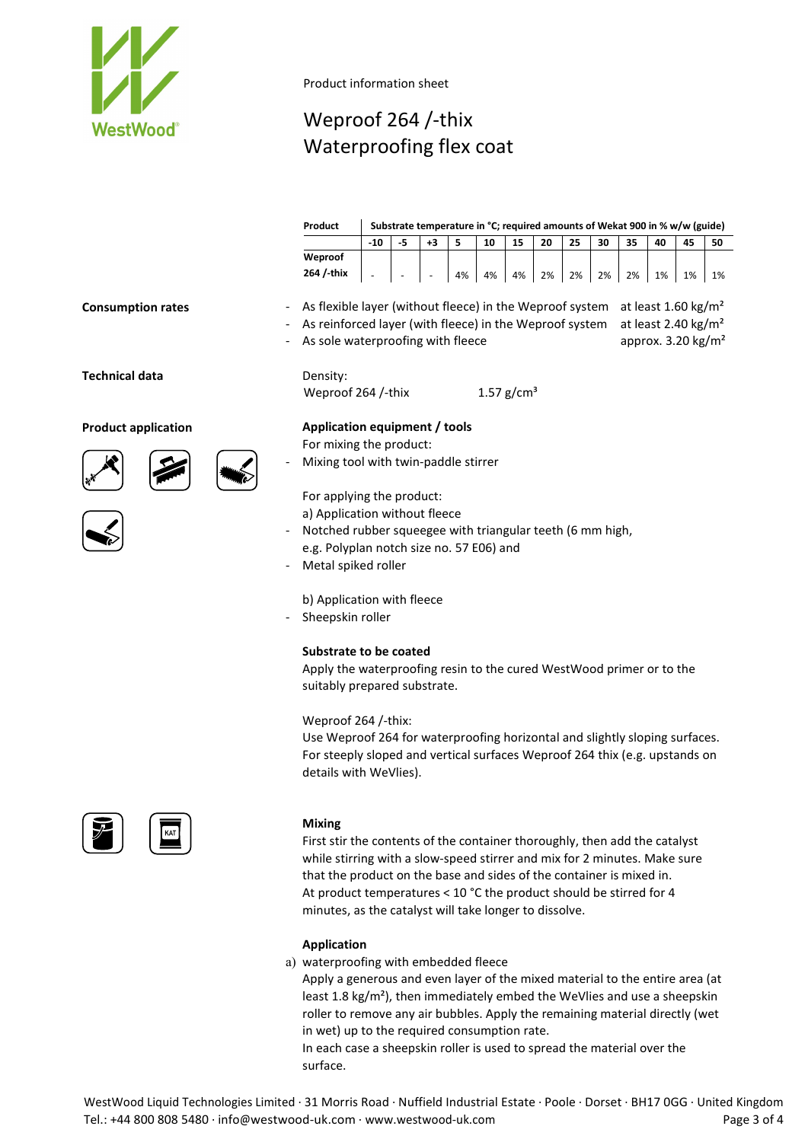

# Weproof 264 /-thix Waterproofing flex coat

|                            |  | Substrate temperature in °C; required amounts of Wekat 900 in % w/w (guide)<br>Product         |       |    |                          |    |    |              |    |    |    |    |    |                                 |    |
|----------------------------|--|------------------------------------------------------------------------------------------------|-------|----|--------------------------|----|----|--------------|----|----|----|----|----|---------------------------------|----|
|                            |  |                                                                                                | $-10$ | -5 | $+3$                     | 5  | 10 | 15           | 20 | 25 | 30 | 35 | 40 | 45                              | 50 |
|                            |  | Weproof                                                                                        |       |    |                          |    |    |              |    |    |    |    |    |                                 |    |
|                            |  | 264 / thix                                                                                     |       |    | $\overline{\phantom{a}}$ | 4% | 4% | 4%           | 2% | 2% | 2% | 2% | 1% | 1%                              | 1% |
| <b>Consumption rates</b>   |  | As flexible layer (without fleece) in the Weproof system<br>at least 1.60 kg/m <sup>2</sup>    |       |    |                          |    |    |              |    |    |    |    |    |                                 |    |
|                            |  | As reinforced layer (with fleece) in the Weproof system                                        |       |    |                          |    |    |              |    |    |    |    |    | at least 2.40 kg/m <sup>2</sup> |    |
|                            |  | As sole waterproofing with fleece                                                              |       |    |                          |    |    |              |    |    |    |    |    | approx. 3.20 kg/m <sup>2</sup>  |    |
| Technical data             |  | Density:                                                                                       |       |    |                          |    |    |              |    |    |    |    |    |                                 |    |
|                            |  | Weproof 264 /-thix                                                                             |       |    |                          |    |    | 1.57 $g/cm3$ |    |    |    |    |    |                                 |    |
|                            |  |                                                                                                |       |    |                          |    |    |              |    |    |    |    |    |                                 |    |
| <b>Product application</b> |  | Application equipment / tools                                                                  |       |    |                          |    |    |              |    |    |    |    |    |                                 |    |
|                            |  | For mixing the product:                                                                        |       |    |                          |    |    |              |    |    |    |    |    |                                 |    |
|                            |  | Mixing tool with twin-paddle stirrer                                                           |       |    |                          |    |    |              |    |    |    |    |    |                                 |    |
|                            |  | For applying the product:                                                                      |       |    |                          |    |    |              |    |    |    |    |    |                                 |    |
|                            |  | a) Application without fleece                                                                  |       |    |                          |    |    |              |    |    |    |    |    |                                 |    |
|                            |  | Notched rubber squeegee with triangular teeth (6 mm high,                                      |       |    |                          |    |    |              |    |    |    |    |    |                                 |    |
|                            |  | e.g. Polyplan notch size no. 57 E06) and                                                       |       |    |                          |    |    |              |    |    |    |    |    |                                 |    |
|                            |  | Metal spiked roller                                                                            |       |    |                          |    |    |              |    |    |    |    |    |                                 |    |
|                            |  | b) Application with fleece                                                                     |       |    |                          |    |    |              |    |    |    |    |    |                                 |    |
|                            |  | Sheepskin roller                                                                               |       |    |                          |    |    |              |    |    |    |    |    |                                 |    |
|                            |  |                                                                                                |       |    |                          |    |    |              |    |    |    |    |    |                                 |    |
|                            |  | Substrate to be coated<br>Apply the waterproofing resin to the cured WestWood primer or to the |       |    |                          |    |    |              |    |    |    |    |    |                                 |    |
|                            |  |                                                                                                |       |    |                          |    |    |              |    |    |    |    |    |                                 |    |
|                            |  | suitably prepared substrate.                                                                   |       |    |                          |    |    |              |    |    |    |    |    |                                 |    |
|                            |  | Weproof 264 /-thix:                                                                            |       |    |                          |    |    |              |    |    |    |    |    |                                 |    |
|                            |  | Use Weproof 264 for waterproofing horizontal and slightly sloping surfaces.                    |       |    |                          |    |    |              |    |    |    |    |    |                                 |    |
|                            |  | For steeply sloped and vertical surfaces Weproof 264 thix (e.g. upstands on                    |       |    |                          |    |    |              |    |    |    |    |    |                                 |    |
|                            |  | details with WeVlies).                                                                         |       |    |                          |    |    |              |    |    |    |    |    |                                 |    |



### **Mixing**

First stir the contents of the container thoroughly, then add the catalyst while stirring with a slow-speed stirrer and mix for 2 minutes. Make sure that the product on the base and sides of the container is mixed in. At product temperatures < 10 °C the product should be stirred for 4 minutes, as the catalyst will take longer to dissolve.

### **Application**

a) waterproofing with embedded fleece

Apply a generous and even layer of the mixed material to the entire area (at least 1.8 kg/m²), then immediately embed the WeVlies and use a sheepskin roller to remove any air bubbles. Apply the remaining material directly (wet in wet) up to the required consumption rate.

In each case a sheepskin roller is used to spread the material over the surface.